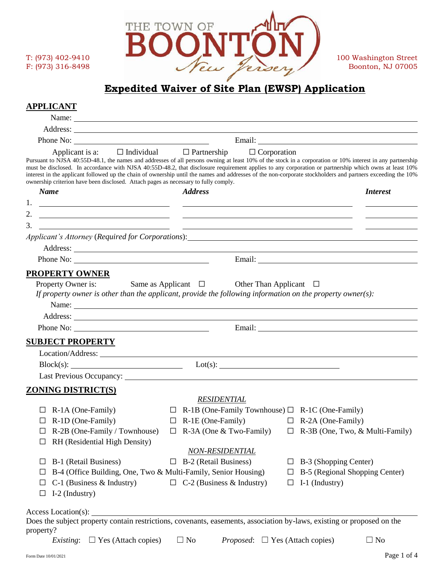

# **Expedited Waiver of Site Plan (EWSP) Application**

# **APPLICANT**

| Applicant is a:<br>Pursuant to NJSA 40:55D-48.1, the names and addresses of all persons owning at least 10% of the stock in a corporation or 10% interest in any partnership<br>must be disclosed. In accordance with NJSA 40:55D-48.2, that disclosure requirement applies to any corporation or partnership which owns at least 10%<br>interest in the applicant followed up the chain of ownership until the names and addresses of the non-corporate stockholders and partners exceeding the 10%<br>ownership criterion have been disclosed. Attach pages as necessary to fully comply. | $\Box$ Individual $\Box$ Partnership                                  | $\Box$ Corporation                                                |                 |
|---------------------------------------------------------------------------------------------------------------------------------------------------------------------------------------------------------------------------------------------------------------------------------------------------------------------------------------------------------------------------------------------------------------------------------------------------------------------------------------------------------------------------------------------------------------------------------------------|-----------------------------------------------------------------------|-------------------------------------------------------------------|-----------------|
| <b>Name</b>                                                                                                                                                                                                                                                                                                                                                                                                                                                                                                                                                                                 | <b>Address</b>                                                        |                                                                   | <i>Interest</i> |
| <u> 1999 - Johann Harry Harry Harry Harry Harry Harry Harry Harry Harry Harry Harry Harry Harry Harry Harry Harry Harry Harry Harry Harry Harry Harry Harry Harry Harry Harry Harry Harry Harry Harry Harry Harry Harry Harry Ha</u>                                                                                                                                                                                                                                                                                                                                                        |                                                                       |                                                                   |                 |
| 2.<br><u> 1999 - Jan Barbara (j. 1908)</u><br>1908 - Johann Barbara, frantziar italiar eta indonesia (h. 1908).                                                                                                                                                                                                                                                                                                                                                                                                                                                                             |                                                                       |                                                                   |                 |
| 3.<br><u> 1999 - Johann Harry Harry Harry Harry Harry Harry Harry Harry Harry Harry Harry Harry Harry Harry Harry Harry Harry Harry Harry Harry Harry Harry Harry Harry Harry Harry Harry Harry Harry Harry Harry Harry Harry Harry Ha</u>                                                                                                                                                                                                                                                                                                                                                  |                                                                       |                                                                   |                 |
|                                                                                                                                                                                                                                                                                                                                                                                                                                                                                                                                                                                             |                                                                       |                                                                   |                 |
|                                                                                                                                                                                                                                                                                                                                                                                                                                                                                                                                                                                             |                                                                       |                                                                   |                 |
| <b>PROPERTY OWNER</b>                                                                                                                                                                                                                                                                                                                                                                                                                                                                                                                                                                       |                                                                       |                                                                   |                 |
| Property Owner is: Same as Applicant $\Box$ Other Than Applicant $\Box$<br>If property owner is other than the applicant, provide the following information on the property owner(s):                                                                                                                                                                                                                                                                                                                                                                                                       |                                                                       |                                                                   |                 |
| Phone No: $\qquad \qquad$                                                                                                                                                                                                                                                                                                                                                                                                                                                                                                                                                                   |                                                                       |                                                                   |                 |
| <b>SUBJECT PROPERTY</b>                                                                                                                                                                                                                                                                                                                                                                                                                                                                                                                                                                     |                                                                       |                                                                   |                 |
|                                                                                                                                                                                                                                                                                                                                                                                                                                                                                                                                                                                             |                                                                       |                                                                   |                 |
| $Block(s):$ $Lot(s):$                                                                                                                                                                                                                                                                                                                                                                                                                                                                                                                                                                       |                                                                       |                                                                   |                 |
| Last Previous Occupancy: Last Previous Occupancy:                                                                                                                                                                                                                                                                                                                                                                                                                                                                                                                                           |                                                                       |                                                                   |                 |
| <b>ZONING DISTRICT(S)</b>                                                                                                                                                                                                                                                                                                                                                                                                                                                                                                                                                                   |                                                                       |                                                                   |                 |
|                                                                                                                                                                                                                                                                                                                                                                                                                                                                                                                                                                                             | <b>RESIDENTIAL</b>                                                    |                                                                   |                 |
| R-1A (One-Family)                                                                                                                                                                                                                                                                                                                                                                                                                                                                                                                                                                           | $\Box$ R-1B (One-Family Townhouse) $\Box$ R-1C (One-Family)           |                                                                   |                 |
| R-1D (One-Family)<br>$\Box$                                                                                                                                                                                                                                                                                                                                                                                                                                                                                                                                                                 | $\Box$ R-1E (One-Family)                                              | $\Box$ R-2A (One-Family)                                          |                 |
| R-2B (One-Family / Townhouse)<br>RH (Residential High Density)                                                                                                                                                                                                                                                                                                                                                                                                                                                                                                                              | $\Box$ R-3A (One & Two-Family) $\Box$ R-3B (One, Two, & Multi-Family) |                                                                   |                 |
|                                                                                                                                                                                                                                                                                                                                                                                                                                                                                                                                                                                             | <b>NON-RESIDENTIAL</b>                                                |                                                                   |                 |
| B-1 (Retail Business)                                                                                                                                                                                                                                                                                                                                                                                                                                                                                                                                                                       | $\Box$ B-2 (Retail Business)                                          | B-3 (Shopping Center)<br>$\Box$<br>B-5 (Regional Shopping Center) |                 |
| B-4 (Office Building, One, Two & Multi-Family, Senior Housing)<br>$C-1$ (Business & Industry)<br>⊔                                                                                                                                                                                                                                                                                                                                                                                                                                                                                          | $\Box$ C-2 (Business & Industry)                                      | ப<br>I-1 (Industry)<br>□                                          |                 |
| I-2 (Industry)<br>ப                                                                                                                                                                                                                                                                                                                                                                                                                                                                                                                                                                         |                                                                       |                                                                   |                 |
| Access Location(s):                                                                                                                                                                                                                                                                                                                                                                                                                                                                                                                                                                         |                                                                       |                                                                   |                 |
| Does the subject property contain restrictions, covenants, easements, association by-laws, existing or proposed on the<br>property?                                                                                                                                                                                                                                                                                                                                                                                                                                                         |                                                                       |                                                                   |                 |
| <i>Existing</i> : $\Box$ Yes (Attach copies)                                                                                                                                                                                                                                                                                                                                                                                                                                                                                                                                                | $\Box$ No                                                             | <i>Proposed</i> : $\Box$ Yes (Attach copies)                      | $\Box$ No       |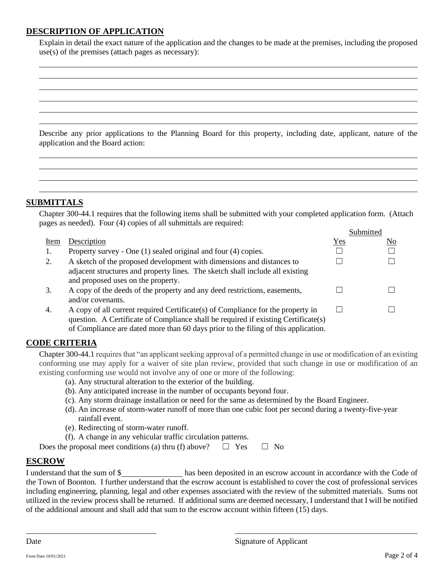## **DESCRIPTION OF APPLICATION**

Explain in detail the exact nature of the application and the changes to be made at the premises, including the proposed use(s) of the premises (attach pages as necessary):

Describe any prior applications to the Planning Board for this property, including date, applicant, nature of the application and the Board action:

#### **SUBMITTALS**

Chapter 300-44.1 requires that the following items shall be submitted with your completed application form. (Attach pages as needed). Four (4) copies of all submittals are required: Submitted

|      |                                                                                    |     | Sublimed |
|------|------------------------------------------------------------------------------------|-----|----------|
| Item | Description                                                                        | Yes | No.      |
| 1.   | Property survey - One (1) sealed original and four (4) copies.                     |     |          |
| 2.   | A sketch of the proposed development with dimensions and distances to              |     |          |
|      | adjacent structures and property lines. The sketch shall include all existing      |     |          |
|      | and proposed uses on the property.                                                 |     |          |
| 3.   | A copy of the deeds of the property and any deed restrictions, easements,          |     |          |
|      | and/or covenants.                                                                  |     |          |
| 4.   | A copy of all current required Certificate(s) of Compliance for the property in    |     |          |
|      | question. A Certificate of Compliance shall be required if existing Certificate(s) |     |          |
|      | of Compliance are dated more than 60 days prior to the filing of this application. |     |          |

### **CODE CRITERIA**

Chapter 300-44.1 requires that "an applicant seeking approval of a permitted change in use or modification of an existing conforming use may apply for a waiver of site plan review, provided that such change in use or modification of an existing conforming use would not involve any of one or more of the following:

- (a). Any structural alteration to the exterior of the building.
- (b). Any anticipated increase in the number of occupants beyond four.
- (c). Any storm drainage installation or need for the same as determined by the Board Engineer.
- (d). An increase of storm-water runoff of more than one cubic foot per second during a twenty-five-year rainfall event.
- (e). Redirecting of storm-water runoff.
- (f). A change in any vehicular traffic circulation patterns.

| Does the proposal meet conditions (a) thru (f) above? $\square$ Yes $\square$ No |  |  |
|----------------------------------------------------------------------------------|--|--|
|----------------------------------------------------------------------------------|--|--|

### **ESCROW**

I understand that the sum of \$\_\_\_\_\_\_\_\_\_\_\_\_\_\_ has been deposited in an escrow account in accordance with the Code of the Town of Boonton. I further understand that the escrow account is established to cover the cost of professional services including engineering, planning, legal and other expenses associated with the review of the submitted materials. Sums not utilized in the review process shall be returned. If additional sums are deemed necessary, I understand that I will be notified of the additional amount and shall add that sum to the escrow account within fifteen (15) days.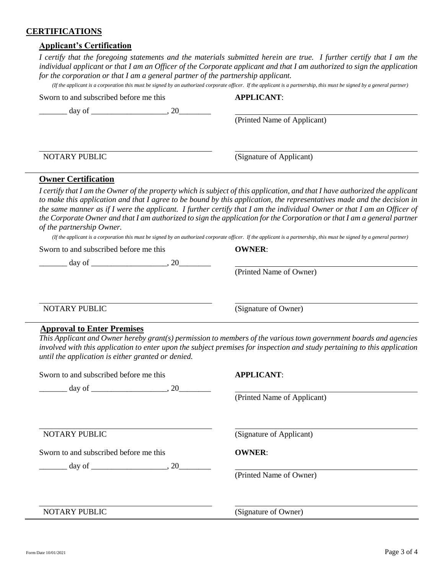#### **CERTIFICATIONS**

#### **Applicant's Certification**

*I certify that the foregoing statements and the materials submitted herein are true. I further certify that I am the individual applicant or that I am an Officer of the Corporate applicant and that I am authorized to sign the application for the corporation or that I am a general partner of the partnership applicant.*

*(If the applicant is a corporation this must be signed by an authorized corporate officer. If the applicant is a partnership, this must be signed by a general partner)*

Sworn to and subscribed before me this **APPLICANT**:

 $\Box$  day of  $\Box$   $\Box$   $\Box$   $\Box$   $\Box$   $\Box$ 

(Printed Name of Applicant)

NOTARY PUBLIC (Signature of Applicant)

(Printed Name of Owner)

#### **Owner Certification**

*I certify that I am the Owner of the property which is subject of this application, and that I have authorized the applicant to make this application and that I agree to be bound by this application, the representatives made and the decision in the same manner as if I were the applicant. I further certify that I am the individual Owner or that I am an Officer of the Corporate Owner and that I am authorized to sign the application for the Corporation or that I am a general partner of the partnership Owner.*

*(If the applicant is a corporation this must be signed by an authorized corporate officer. If the applicant is a partnership, this must be signed by a general partner)*

Sworn to and subscribed before me this **OWNER**:

 $\frac{day \text{ of }$ 

NOTARY PUBLIC (Signature of Owner)

#### **Approval to Enter Premises**

*This Applicant and Owner hereby grant(s) permission to members of the various town government boards and agencies involved with this application to enter upon the subject premises for inspection and study pertaining to this application until the application is either granted or denied.*

| Sworn to and subscribed before me this  | <b>APPLICANT:</b>           |
|-----------------------------------------|-----------------------------|
| $\frac{1}{2}$ day of $\frac{1}{2}$ , 20 | (Printed Name of Applicant) |
|                                         |                             |
| NOTARY PUBLIC                           | (Signature of Applicant)    |
| Sworn to and subscribed before me this  | <b>OWNER:</b>               |
|                                         |                             |
|                                         | (Printed Name of Owner)     |
|                                         |                             |
| NOTARY PUBLIC                           | (Signature of Owner)        |